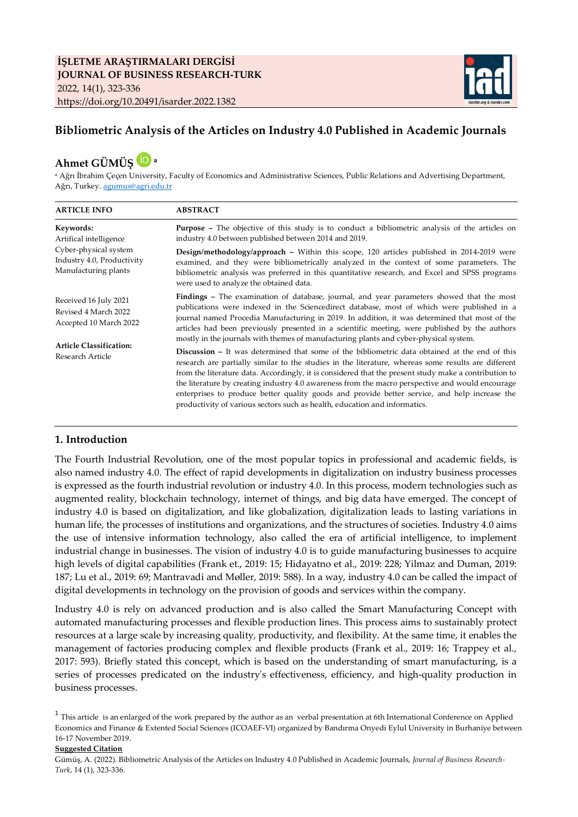

## **Bibliometric Analysis of the Articles on Industry 4.0 Published in Academic Journals**

# **Ahmet GÜMÜŞ <sup>a</sup>**

a Ağrı İbrahim Çeçen University, Faculty of Economics and Administrative Sciences, Public Relations and Advertising Department, Ağrı, Turkey[. agumus@agri.edu.tr](mailto:agumus@agri.edu.tr)

| <b>ARTICLE INFO</b>                                                                                                           | <b>ABSTRACT</b>                                                                                                                                                                                                                                                                                                                                                                                                                                                                                                                                                                                         |  |  |
|-------------------------------------------------------------------------------------------------------------------------------|---------------------------------------------------------------------------------------------------------------------------------------------------------------------------------------------------------------------------------------------------------------------------------------------------------------------------------------------------------------------------------------------------------------------------------------------------------------------------------------------------------------------------------------------------------------------------------------------------------|--|--|
| Keywords:<br>Artifical intelligence                                                                                           | <b>Purpose</b> - The objective of this study is to conduct a bibliometric analysis of the articles on<br>industry 4.0 between published between 2014 and 2019.                                                                                                                                                                                                                                                                                                                                                                                                                                          |  |  |
| Cyber-physical system<br>Industry 4.0, Productivity<br>Manufacturing plants                                                   | Design/methodology/approach – Within this scope, 120 articles published in 2014-2019 were<br>examined, and they were bibliometrically analyzed in the context of some parameters. The<br>bibliometric analysis was preferred in this quantitative research, and Excel and SPSS programs<br>were used to analyze the obtained data.                                                                                                                                                                                                                                                                      |  |  |
| Received 16 July 2021<br>Revised 4 March 2022<br>Accepted 10 March 2022<br><b>Article Classification:</b><br>Research Article | <b>Findings</b> – The examination of database, journal, and year parameters showed that the most<br>publications were indexed in the Sciencedirect database, most of which were published in a<br>journal named Procedia Manufacturing in 2019. In addition, it was determined that most of the<br>articles had been previously presented in a scientific meeting, were published by the authors<br>mostly in the journals with themes of manufacturing plants and cyber-physical system.                                                                                                               |  |  |
|                                                                                                                               | <b>Discussion</b> – It was determined that some of the bibliometric data obtained at the end of this<br>research are partially similar to the studies in the literature, whereas some results are different<br>from the literature data. Accordingly, it is considered that the present study make a contribution to<br>the literature by creating industry 4.0 awareness from the macro perspective and would encourage<br>enterprises to produce better quality goods and provide better service, and help increase the<br>productivity of various sectors such as health, education and informatics. |  |  |

### **1. Introduction**

The Fourth Industrial Revolution, one of the most popular topics in professional and academic fields, is also named industry 4.0. The effect of rapid developments in digitalization on industry business processes is expressed as the fourth industrial revolution or industry 4.0. In this process, modern technologies such as augmented reality, blockchain technology, internet of things, and big data have emerged. The concept of industry 4.0 is based on digitalization, and like globalization, digitalization leads to lasting variations in human life, the processes of institutions and organizations, and the structures of societies. Industry 4.0 aims the use of intensive information technology, also called the era of artificial intelligence, to implement industrial change in businesses. The vision of industry 4.0 is to guide manufacturing businesses to acquire high levels of digital capabilities (Frank et., 2019: 15; Hidayatno et al., 2019: 228; Yilmaz and Duman, 2019: 187; Lu et al., 2019: 69; Mantravadi and Møller, 2019: 588). In a way, industry 4.0 can be called the impact of digital developments in technology on the provision of goods and services within the company.

Industry 4.0 is rely on advanced production and is also called the Smart Manufacturing Concept with automated manufacturing processes and flexible production lines. This process aims to sustainably protect resources at a large scale by increasing quality, productivity, and flexibility. At the same time, it enables the management of factories producing complex and flexible products (Frank et al., 2019: 16; Trappey et al., 2017: 593). Briefly stated this concept, which is based on the understanding of smart manufacturing, is a series of processes predicated on the industry's effectiveness, efficiency, and high-quality production in business processes.

<sup>1</sup> This article is an enlarged of the work prepared by the author as an verbal presentation at 6th International Conference on Applied Economics and Finance & Extented Social Sciences (ICOAEF-VI) organized by Bandırma Onyedi Eylul University in Burhaniye between 16-17 November 2019.

#### **Suggested Citation**

Gümüş, A. (2022). Bibliometric Analysis of the Articles on Industry 4.0 Published in Academic Journals, *Journal of Business Research-Turk*, 14 (1), 323-336.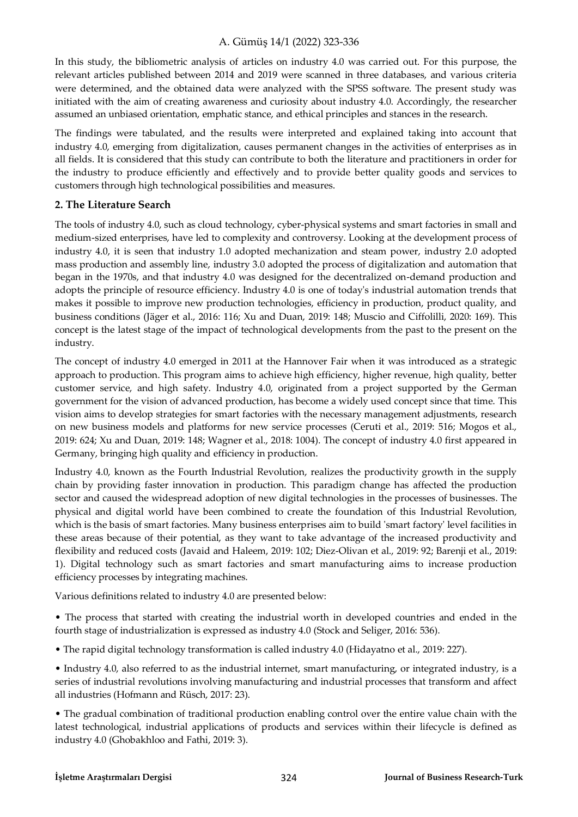In this study, the bibliometric analysis of articles on industry 4.0 was carried out. For this purpose, the relevant articles published between 2014 and 2019 were scanned in three databases, and various criteria were determined, and the obtained data were analyzed with the SPSS software. The present study was initiated with the aim of creating awareness and curiosity about industry 4.0. Accordingly, the researcher assumed an unbiased orientation, emphatic stance, and ethical principles and stances in the research.

The findings were tabulated, and the results were interpreted and explained taking into account that industry 4.0, emerging from digitalization, causes permanent changes in the activities of enterprises as in all fields. It is considered that this study can contribute to both the literature and practitioners in order for the industry to produce efficiently and effectively and to provide better quality goods and services to customers through high technological possibilities and measures.

### **2. The Literature Search**

The tools of industry 4.0, such as cloud technology, cyber-physical systems and smart factories in small and medium-sized enterprises, have led to complexity and controversy. Looking at the development process of industry 4.0, it is seen that industry 1.0 adopted mechanization and steam power, industry 2.0 adopted mass production and assembly line, industry 3.0 adopted the process of digitalization and automation that began in the 1970s, and that industry 4.0 was designed for the decentralized on-demand production and adopts the principle of resource efficiency. Industry 4.0 is one of today's industrial automation trends that makes it possible to improve new production technologies, efficiency in production, product quality, and business conditions (Jäger et al., 2016: 116; Xu and Duan, 2019: 148; Muscio and Ciffolilli, 2020: 169). This concept is the latest stage of the impact of technological developments from the past to the present on the industry.

The concept of industry 4.0 emerged in 2011 at the Hannover Fair when it was introduced as a strategic approach to production. This program aims to achieve high efficiency, higher revenue, high quality, better customer service, and high safety. Industry 4.0, originated from a project supported by the German government for the vision of advanced production, has become a widely used concept since that time. This vision aims to develop strategies for smart factories with the necessary management adjustments, research on new business models and platforms for new service processes (Ceruti et al., 2019: 516; Mogos et al., 2019: 624; Xu and Duan, 2019: 148; Wagner et al., 2018: 1004). The concept of industry 4.0 first appeared in Germany, bringing high quality and efficiency in production.

Industry 4.0, known as the Fourth Industrial Revolution, realizes the productivity growth in the supply chain by providing faster innovation in production. This paradigm change has affected the production sector and caused the widespread adoption of new digital technologies in the processes of businesses. The physical and digital world have been combined to create the foundation of this Industrial Revolution, which is the basis of smart factories. Many business enterprises aim to build 'smart factory' level facilities in these areas because of their potential, as they want to take advantage of the increased productivity and flexibility and reduced costs (Javaid and Haleem, 2019: 102; Diez-Olivan et al., 2019: 92; Barenji et al., 2019: 1). Digital technology such as smart factories and smart manufacturing aims to increase production efficiency processes by integrating machines.

Various definitions related to industry 4.0 are presented below:

• The process that started with creating the industrial worth in developed countries and ended in the fourth stage of industrialization is expressed as industry 4.0 (Stock and Seliger, 2016: 536).

• The rapid digital technology transformation is called industry 4.0 (Hidayatno et al., 2019: 227).

• Industry 4.0, also referred to as the industrial internet, smart manufacturing, or integrated industry, is a series of industrial revolutions involving manufacturing and industrial processes that transform and affect all industries (Hofmann and Rüsch, 2017: 23).

• The gradual combination of traditional production enabling control over the entire value chain with the latest technological, industrial applications of products and services within their lifecycle is defined as industry 4.0 (Ghobakhloo and Fathi, 2019: 3).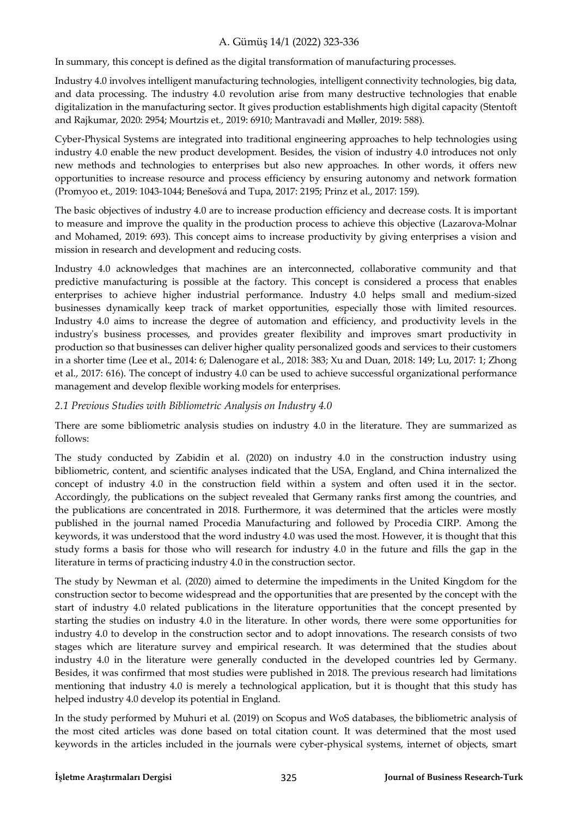In summary, this concept is defined as the digital transformation of manufacturing processes.

Industry 4.0 involves intelligent manufacturing technologies, intelligent connectivity technologies, big data, and data processing. The industry 4.0 revolution arise from many destructive technologies that enable digitalization in the manufacturing sector. It gives production establishments high digital capacity (Stentoft and Rajkumar, 2020: 2954; Mourtzis et., 2019: 6910; Mantravadi and Møller, 2019: 588).

Cyber-Physical Systems are integrated into traditional engineering approaches to help technologies using industry 4.0 enable the new product development. Besides, the vision of industry 4.0 introduces not only new methods and technologies to enterprises but also new approaches. In other words, it offers new opportunities to increase resource and process efficiency by ensuring autonomy and network formation (Promyoo et., 2019: 1043-1044; Benešová and Tupa, 2017: 2195; Prinz et al., 2017: 159).

The basic objectives of industry 4.0 are to increase production efficiency and decrease costs. It is important to measure and improve the quality in the production process to achieve this objective (Lazarova-Molnar and Mohamed, 2019: 693). This concept aims to increase productivity by giving enterprises a vision and mission in research and development and reducing costs.

Industry 4.0 acknowledges that machines are an interconnected, collaborative community and that predictive manufacturing is possible at the factory. This concept is considered a process that enables enterprises to achieve higher industrial performance. Industry 4.0 helps small and medium-sized businesses dynamically keep track of market opportunities, especially those with limited resources. Industry 4.0 aims to increase the degree of automation and efficiency, and productivity levels in the industry's business processes, and provides greater flexibility and improves smart productivity in production so that businesses can deliver higher quality personalized goods and services to their customers in a shorter time (Lee et al., 2014: 6; Dalenogare et al., 2018: 383; Xu and Duan, 2018: 149; Lu, 2017: 1; Zhong et al., 2017: 616). The concept of industry 4.0 can be used to achieve successful organizational performance management and develop flexible working models for enterprises.

### *2.1 Previous Studies with Bibliometric Analysis on Industry 4.0*

There are some bibliometric analysis studies on industry 4.0 in the literature. They are summarized as follows:

The study conducted by Zabidin et al. (2020) on industry 4.0 in the construction industry using bibliometric, content, and scientific analyses indicated that the USA, England, and China internalized the concept of industry 4.0 in the construction field within a system and often used it in the sector. Accordingly, the publications on the subject revealed that Germany ranks first among the countries, and the publications are concentrated in 2018. Furthermore, it was determined that the articles were mostly published in the journal named Procedia Manufacturing and followed by Procedia CIRP. Among the keywords, it was understood that the word industry 4.0 was used the most. However, it is thought that this study forms a basis for those who will research for industry 4.0 in the future and fills the gap in the literature in terms of practicing industry 4.0 in the construction sector.

The study by Newman et al. (2020) aimed to determine the impediments in the United Kingdom for the construction sector to become widespread and the opportunities that are presented by the concept with the start of industry 4.0 related publications in the literature opportunities that the concept presented by starting the studies on industry 4.0 in the literature. In other words, there were some opportunities for industry 4.0 to develop in the construction sector and to adopt innovations. The research consists of two stages which are literature survey and empirical research. It was determined that the studies about industry 4.0 in the literature were generally conducted in the developed countries led by Germany. Besides, it was confirmed that most studies were published in 2018. The previous research had limitations mentioning that industry 4.0 is merely a technological application, but it is thought that this study has helped industry 4.0 develop its potential in England.

In the study performed by Muhuri et al. (2019) on Scopus and WoS databases, the bibliometric analysis of the most cited articles was done based on total citation count. It was determined that the most used keywords in the articles included in the journals were cyber-physical systems, internet of objects, smart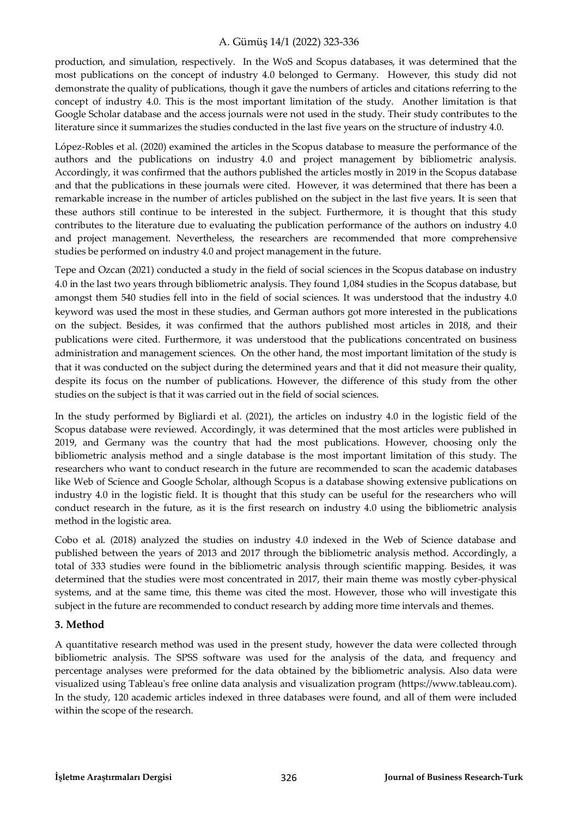production, and simulation, respectively. In the WoS and Scopus databases, it was determined that the most publications on the concept of industry 4.0 belonged to Germany. However, this study did not demonstrate the quality of publications, though it gave the numbers of articles and citations referring to the concept of industry 4.0. This is the most important limitation of the study. Another limitation is that Google Scholar database and the access journals were not used in the study. Their study contributes to the literature since it summarizes the studies conducted in the last five years on the structure of industry 4.0.

López-Robles et al. (2020) examined the articles in the Scopus database to measure the performance of the authors and the publications on industry 4.0 and project management by bibliometric analysis. Accordingly, it was confirmed that the authors published the articles mostly in 2019 in the Scopus database and that the publications in these journals were cited. However, it was determined that there has been a remarkable increase in the number of articles published on the subject in the last five years. It is seen that these authors still continue to be interested in the subject. Furthermore, it is thought that this study contributes to the literature due to evaluating the publication performance of the authors on industry 4.0 and project management. Nevertheless, the researchers are recommended that more comprehensive studies be performed on industry 4.0 and project management in the future.

Tepe and Ozcan (2021) conducted a study in the field of social sciences in the Scopus database on industry 4.0 in the last two years through bibliometric analysis. They found 1,084 studies in the Scopus database, but amongst them 540 studies fell into in the field of social sciences. It was understood that the industry 4.0 keyword was used the most in these studies, and German authors got more interested in the publications on the subject. Besides, it was confirmed that the authors published most articles in 2018, and their publications were cited. Furthermore, it was understood that the publications concentrated on business administration and management sciences. On the other hand, the most important limitation of the study is that it was conducted on the subject during the determined years and that it did not measure their quality, despite its focus on the number of publications. However, the difference of this study from the other studies on the subject is that it was carried out in the field of social sciences.

In the study performed by Bigliardi et al. (2021), the articles on industry 4.0 in the logistic field of the Scopus database were reviewed. Accordingly, it was determined that the most articles were published in 2019, and Germany was the country that had the most publications. However, choosing only the bibliometric analysis method and a single database is the most important limitation of this study. The researchers who want to conduct research in the future are recommended to scan the academic databases like Web of Science and Google Scholar, although Scopus is a database showing extensive publications on industry 4.0 in the logistic field. It is thought that this study can be useful for the researchers who will conduct research in the future, as it is the first research on industry 4.0 using the bibliometric analysis method in the logistic area.

Cobo et al. (2018) analyzed the studies on industry 4.0 indexed in the Web of Science database and published between the years of 2013 and 2017 through the bibliometric analysis method. Accordingly, a total of 333 studies were found in the bibliometric analysis through scientific mapping. Besides, it was determined that the studies were most concentrated in 2017, their main theme was mostly cyber-physical systems, and at the same time, this theme was cited the most. However, those who will investigate this subject in the future are recommended to conduct research by adding more time intervals and themes.

#### **3. Method**

A quantitative research method was used in the present study, however the data were collected through bibliometric analysis. The SPSS software was used for the analysis of the data, and frequency and percentage analyses were preformed for the data obtained by the bibliometric analysis. Also data were visualized using Tableau's free online data analysis and visualization program (https://www.tableau.com). In the study, 120 academic articles indexed in three databases were found, and all of them were included within the scope of the research.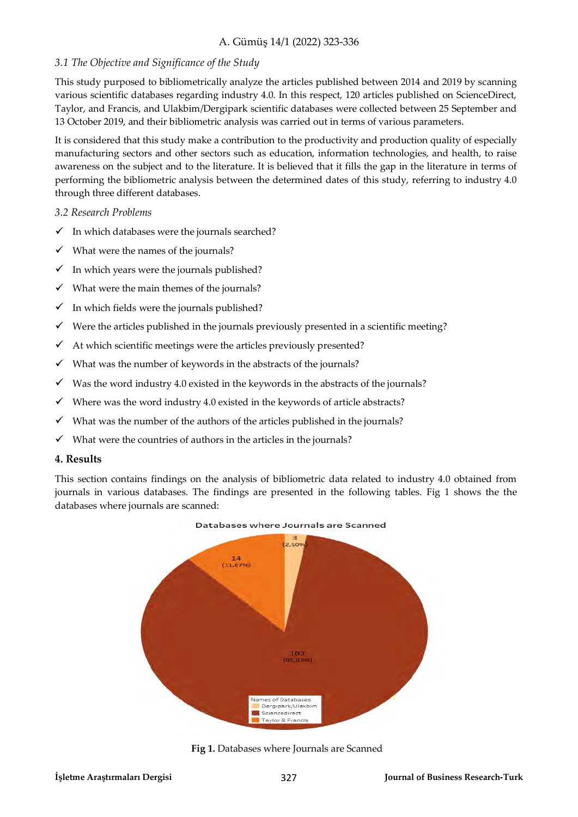### *3.1 The Objective and Significance of the Study*

This study purposed to bibliometrically analyze the articles published between 2014 and 2019 by scanning various scientific databases regarding industry 4.0. In this respect, 120 articles published on ScienceDirect, Taylor, and Francis, and Ulakbim/Dergipark scientific databases were collected between 25 September and 13 October 2019, and their bibliometric analysis was carried out in terms of various parameters.

It is considered that this study make a contribution to the productivity and production quality of especially manufacturing sectors and other sectors such as education, information technologies, and health, to raise awareness on the subject and to the literature. It is believed that it fills the gap in the literature in terms of performing the bibliometric analysis between the determined dates of this study, referring to industry 4.0 through three different databases.

#### *3.2 Research Problems*

- $\checkmark$  In which databases were the journals searched?
- $\checkmark$  What were the names of the journals?
- $\checkmark$  In which years were the journals published?
- $\checkmark$  What were the main themes of the journals?
- $\checkmark$  In which fields were the journals published?
- $\checkmark$  Were the articles published in the journals previously presented in a scientific meeting?
- $\checkmark$  At which scientific meetings were the articles previously presented?
- $\checkmark$  What was the number of keywords in the abstracts of the journals?
- $\checkmark$  Was the word industry 4.0 existed in the keywords in the abstracts of the journals?
- $\checkmark$  Where was the word industry 4.0 existed in the keywords of article abstracts?
- $\checkmark$  What was the number of the authors of the articles published in the journals?
- $\checkmark$  What were the countries of authors in the articles in the journals?

#### **4. Results**

This section contains findings on the analysis of bibliometric data related to industry 4.0 obtained from journals in various databases. The findings are presented in the following tables. Fig 1 shows the the databases where journals are scanned:



**Fig 1.** Databases where Journals are Scanned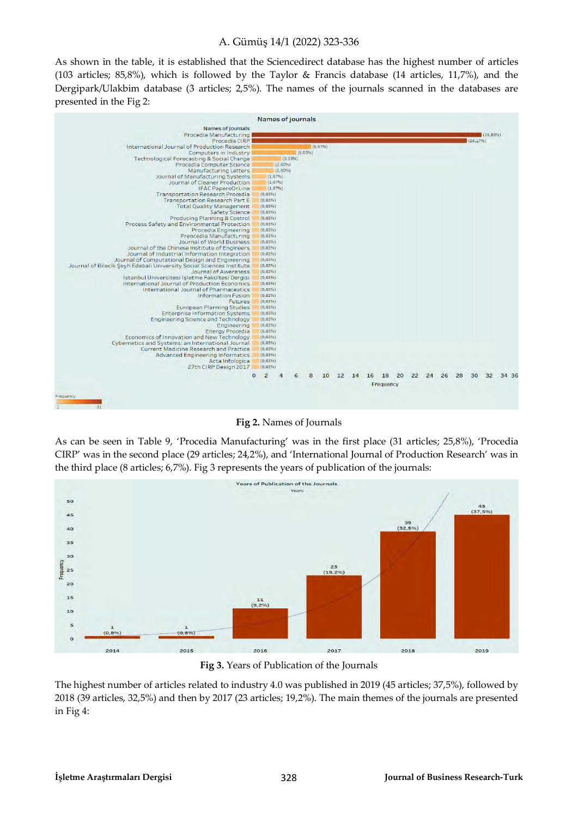As shown in the table, it is established that the Sciencedirect database has the highest number of articles (103 articles; 85,8%), which is followed by the Taylor & Francis database (14 articles, 11,7%), and the Dergipark/Ulakbim database (3 articles; 2,5%). The names of the journals scanned in the databases are presented in the Fig 2:



**Fig 2.** Names of Journals

As can be seen in Table 9, 'Procedia Manufacturing' was in the first place (31 articles; 25,8%), 'Procedia CIRP' was in the second place (29 articles; 24,2%), and 'International Journal of Production Research' was in the third place (8 articles; 6,7%). Fig 3 represents the years of publication of the journals:



**Fig 3.** Years of Publication of the Journals

The highest number of articles related to industry 4.0 was published in 2019 (45 articles; 37,5%), followed by 2018 (39 articles, 32,5%) and then by 2017 (23 articles; 19,2%). The main themes of the journals are presented in Fig 4: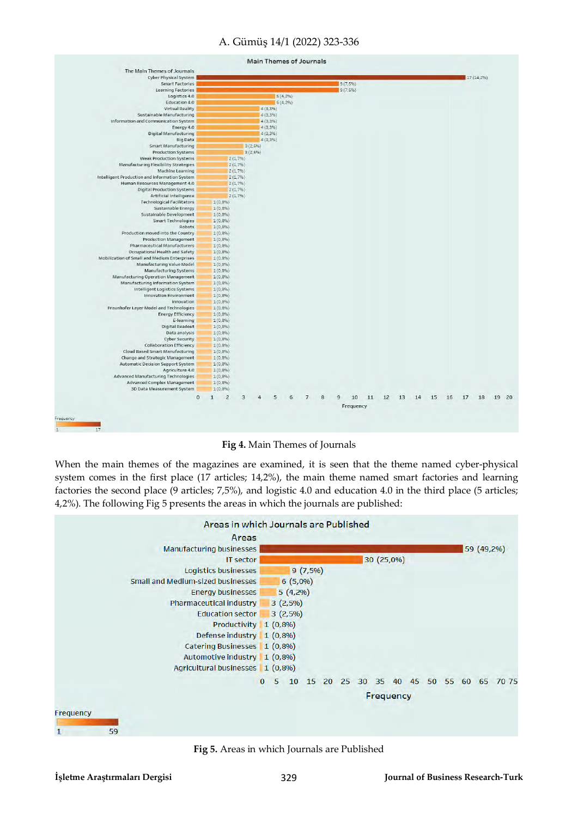

**Fig 4.** Main Themes of Journals

When the main themes of the magazines are examined, it is seen that the theme named cyber-physical system comes in the first place (17 articles; 14,2%), the main theme named smart factories and learning factories the second place (9 articles; 7,5%), and logistic 4.0 and education 4.0 in the third place (5 articles; 4,2%). The following Fig 5 presents the areas in which the journals are published:



**Fig 5.** Areas in which Journals are Published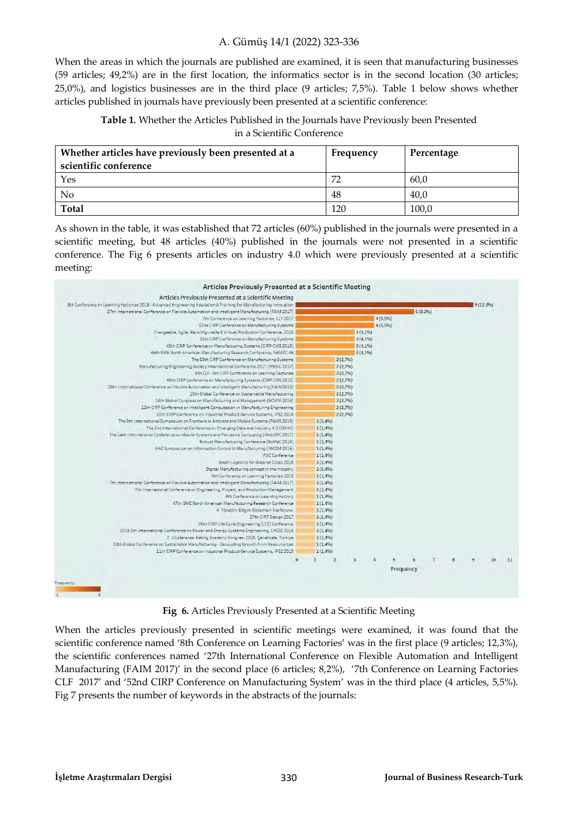When the areas in which the journals are published are examined, it is seen that manufacturing businesses (59 articles; 49,2%) are in the first location, the informatics sector is in the second location (30 articles; 25,0%), and logistics businesses are in the third place (9 articles; 7,5%). Table 1 below shows whether articles published in journals have previously been presented at a scientific conference:

**Table 1.** Whether the Articles Published in the Journals have Previously been Presented in a Scientific Conference

| Whether articles have previously been presented at a | Frequency | Percentage |
|------------------------------------------------------|-----------|------------|
| scientific conference                                |           |            |
| Yes                                                  | 72        | 60,0       |
| No                                                   | 48        | 40.0       |
| <b>Total</b>                                         | 120       | 100,0      |

As shown in the table, it was established that 72 articles (60%) published in the journals were presented in a scientific meeting, but 48 articles (40%) published in the journals were not presented in a scientific conference. The Fig 6 presents articles on industry 4.0 which were previously presented at a scientific meeting:



**Fig 6.** Articles Previously Presented at a Scientific Meeting

When the articles previously presented in scientific meetings were examined, it was found that the scientific conference named '8th Conference on Learning Factories' was in the first place (9 articles; 12,3%), the scientific conferences named '27th International Conference on Flexible Automation and Intelligent Manufacturing (FAIM 2017)' in the second place (6 articles; 8,2%), '7th Conference on Learning Factories CLF 2017' and '52nd CIRP Conference on Manufacturing System' was in the third place (4 articles, 5,5%). Fig 7 presents the number of keywords in the abstracts of the journals: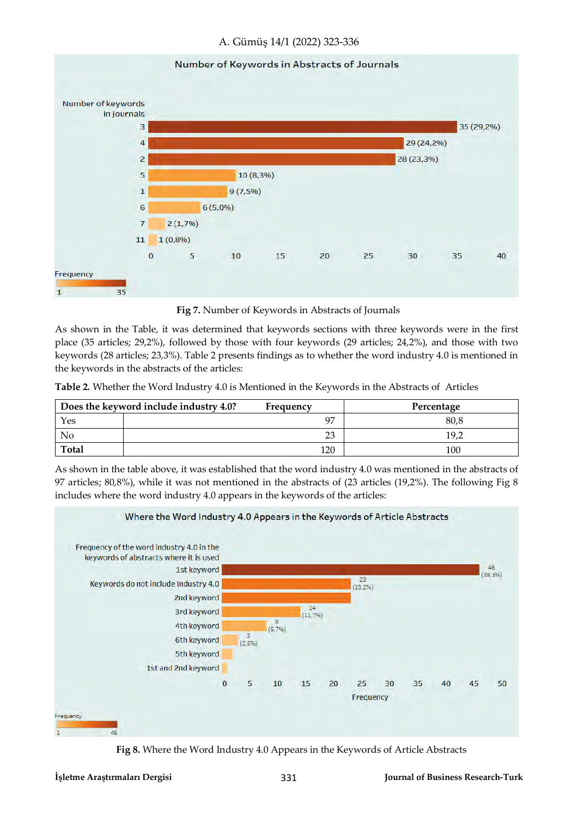#### Number of Keywords in Abstracts of Journals



**Fig 7.** Number of Keywords in Abstracts of Journals

As shown in the Table, it was determined that keywords sections with three keywords were in the first place (35 articles; 29,2%), followed by those with four keywords (29 articles; 24,2%), and those with two keywords (28 articles; 23,3%). Table 2 presents findings as to whether the word industry 4.0 is mentioned in the keywords in the abstracts of the articles:

**Table 2.** Whether the Word Industry 4.0 is Mentioned in the Keywords in the Abstracts of Articles

|              | Does the keyword include industry 4.0? | Frequency | Percentage |
|--------------|----------------------------------------|-----------|------------|
| Yes          |                                        | 97        | 80,8       |
| No           |                                        | 23        | 19.2       |
| <b>Total</b> |                                        | 120       | 100        |

As shown in the table above, it was established that the word industry 4.0 was mentioned in the abstracts of 97 articles; 80,8%), while it was not mentioned in the abstracts of (23 articles (19,2%). The following Fig 8 includes where the word industry 4.0 appears in the keywords of the articles:



**Fig 8.** Where the Word Industry 4.0 Appears in the Keywords of Article Abstracts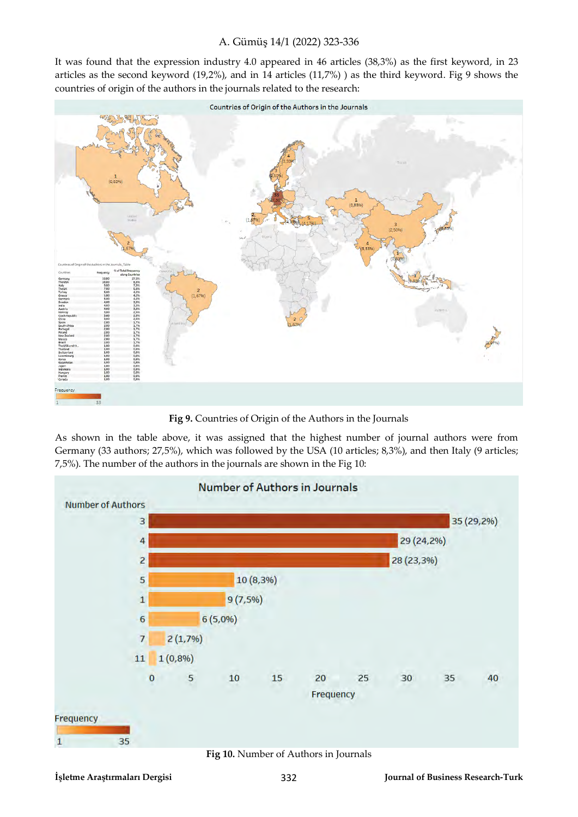It was found that the expression industry 4.0 appeared in 46 articles (38,3%) as the first keyword, in 23 articles as the second keyword (19,2%), and in 14 articles (11,7%) ) as the third keyword. Fig 9 shows the countries of origin of the authors in the journals related to the research:



**Fig 9.** Countries of Origin of the Authors in the Journals

As shown in the table above, it was assigned that the highest number of journal authors were from Germany (33 authors; 27,5%), which was followed by the USA (10 articles; 8,3%), and then Italy (9 articles; 7,5%). The number of the authors in the journals are shown in the Fig 10:



**Fig 10.** Number of Authors in Journals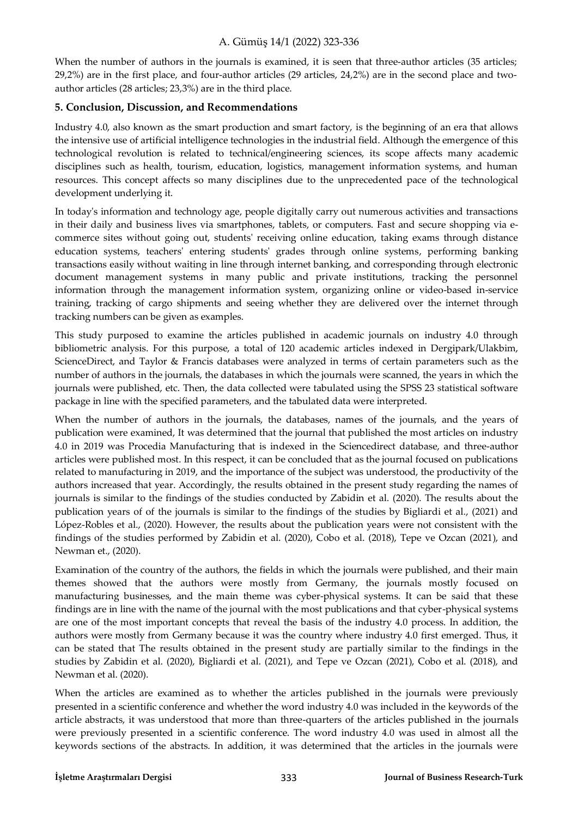When the number of authors in the journals is examined, it is seen that three-author articles (35 articles; 29,2%) are in the first place, and four-author articles (29 articles, 24,2%) are in the second place and twoauthor articles (28 articles; 23,3%) are in the third place.

### **5. Conclusion, Discussion, and Recommendations**

Industry 4.0, also known as the smart production and smart factory, is the beginning of an era that allows the intensive use of artificial intelligence technologies in the industrial field. Although the emergence of this technological revolution is related to technical/engineering sciences, its scope affects many academic disciplines such as health, tourism, education, logistics, management information systems, and human resources. This concept affects so many disciplines due to the unprecedented pace of the technological development underlying it.

In today's information and technology age, people digitally carry out numerous activities and transactions in their daily and business lives via smartphones, tablets, or computers. Fast and secure shopping via ecommerce sites without going out, students' receiving online education, taking exams through distance education systems, teachers' entering students' grades through online systems, performing banking transactions easily without waiting in line through internet banking, and corresponding through electronic document management systems in many public and private institutions, tracking the personnel information through the management information system, organizing online or video-based in-service training, tracking of cargo shipments and seeing whether they are delivered over the internet through tracking numbers can be given as examples.

This study purposed to examine the articles published in academic journals on industry 4.0 through bibliometric analysis. For this purpose, a total of 120 academic articles indexed in Dergipark/Ulakbim, ScienceDirect, and Taylor & Francis databases were analyzed in terms of certain parameters such as the number of authors in the journals, the databases in which the journals were scanned, the years in which the journals were published, etc. Then, the data collected were tabulated using the SPSS 23 statistical software package in line with the specified parameters, and the tabulated data were interpreted.

When the number of authors in the journals, the databases, names of the journals, and the years of publication were examined, It was determined that the journal that published the most articles on industry 4.0 in 2019 was Procedia Manufacturing that is indexed in the Sciencedirect database, and three-author articles were published most. In this respect, it can be concluded that as the journal focused on publications related to manufacturing in 2019, and the importance of the subject was understood, the productivity of the authors increased that year. Accordingly, the results obtained in the present study regarding the names of journals is similar to the findings of the studies conducted by Zabidin et al. (2020). The results about the publication years of of the journals is similar to the findings of the studies by Bigliardi et al., (2021) and López-Robles et al., (2020). However, the results about the publication years were not consistent with the findings of the studies performed by Zabidin et al. (2020), Cobo et al. (2018), Tepe ve Ozcan (2021), and Newman et., (2020).

Examination of the country of the authors, the fields in which the journals were published, and their main themes showed that the authors were mostly from Germany, the journals mostly focused on manufacturing businesses, and the main theme was cyber-physical systems. It can be said that these findings are in line with the name of the journal with the most publications and that cyber-physical systems are one of the most important concepts that reveal the basis of the industry 4.0 process. In addition, the authors were mostly from Germany because it was the country where industry 4.0 first emerged. Thus, it can be stated that The results obtained in the present study are partially similar to the findings in the studies by Zabidin et al. (2020), Bigliardi et al. (2021), and Tepe ve Ozcan (2021), Cobo et al. (2018), and Newman et al. (2020).

When the articles are examined as to whether the articles published in the journals were previously presented in a scientific conference and whether the word industry 4.0 was included in the keywords of the article abstracts, it was understood that more than three-quarters of the articles published in the journals were previously presented in a scientific conference. The word industry 4.0 was used in almost all the keywords sections of the abstracts. In addition, it was determined that the articles in the journals were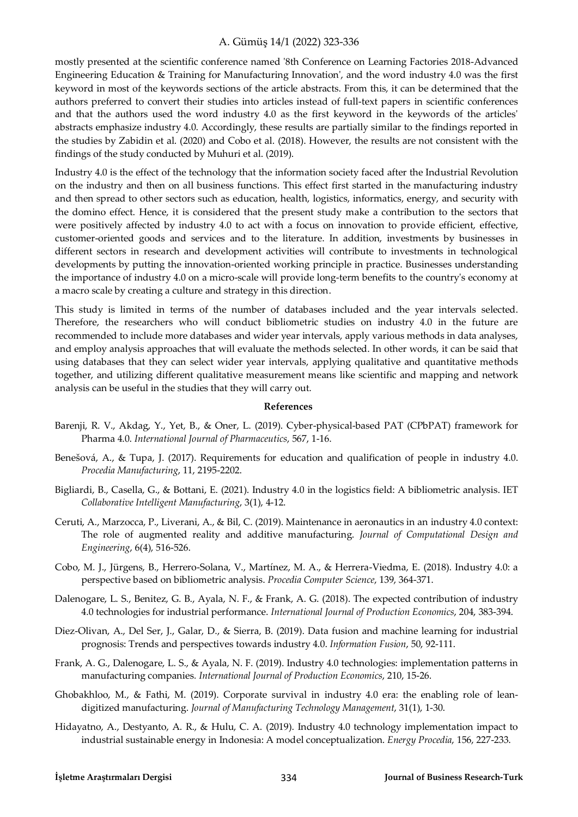mostly presented at the scientific conference named '8th Conference on Learning Factories 2018-Advanced Engineering Education & Training for Manufacturing Innovation', and the word industry 4.0 was the first keyword in most of the keywords sections of the article abstracts. From this, it can be determined that the authors preferred to convert their studies into articles instead of full-text papers in scientific conferences and that the authors used the word industry 4.0 as the first keyword in the keywords of the articles' abstracts emphasize industry 4.0. Accordingly, these results are partially similar to the findings reported in the studies by Zabidin et al. (2020) and Cobo et al. (2018). However, the results are not consistent with the findings of the study conducted by Muhuri et al. (2019).

Industry 4.0 is the effect of the technology that the information society faced after the Industrial Revolution on the industry and then on all business functions. This effect first started in the manufacturing industry and then spread to other sectors such as education, health, logistics, informatics, energy, and security with the domino effect. Hence, it is considered that the present study make a contribution to the sectors that were positively affected by industry 4.0 to act with a focus on innovation to provide efficient, effective, customer-oriented goods and services and to the literature. In addition, investments by businesses in different sectors in research and development activities will contribute to investments in technological developments by putting the innovation-oriented working principle in practice. Businesses understanding the importance of industry 4.0 on a micro-scale will provide long-term benefits to the country's economy at a macro scale by creating a culture and strategy in this direction.

This study is limited in terms of the number of databases included and the year intervals selected. Therefore, the researchers who will conduct bibliometric studies on industry 4.0 in the future are recommended to include more databases and wider year intervals, apply various methods in data analyses, and employ analysis approaches that will evaluate the methods selected. In other words, it can be said that using databases that they can select wider year intervals, applying qualitative and quantitative methods together, and utilizing different qualitative measurement means like scientific and mapping and network analysis can be useful in the studies that they will carry out.

#### **References**

- Barenji, R. V., Akdag, Y., Yet, B., & Oner, L. (2019). Cyber-physical-based PAT (CPbPAT) framework for Pharma 4.0. *International Journal of Pharmaceutics*, 567, 1-16.
- Benešová, A., & Tupa, J. (2017). Requirements for education and qualification of people in industry 4.0. *Procedia Manufacturing*, 11, 2195-2202.
- Bigliardi, B., Casella, G., & Bottani, E. (2021). Industry 4.0 in the logistics field: A bibliometric analysis. IET *Collaborative Intelligent Manufacturing*, 3(1), 4-12.
- Ceruti, A., Marzocca, P., Liverani, A., & Bil, C. (2019). Maintenance in aeronautics in an industry 4.0 context: The role of augmented reality and additive manufacturing. *Journal of Computational Design and Engineering*, 6(4), 516-526.
- Cobo, M. J., Jürgens, B., Herrero-Solana, V., Martínez, M. A., & Herrera-Viedma, E. (2018). Industry 4.0: a perspective based on bibliometric analysis. *Procedia Computer Science*, 139, 364-371.
- Dalenogare, L. S., Benitez, G. B., Ayala, N. F., & Frank, A. G. (2018). The expected contribution of industry 4.0 technologies for industrial performance. *International Journal of Production Economics*, 204, 383-394.
- Diez-Olivan, A., Del Ser, J., Galar, D., & Sierra, B. (2019). Data fusion and machine learning for industrial prognosis: Trends and perspectives towards industry 4.0. *Information Fusion*, 50, 92-111.
- Frank, A. G., Dalenogare, L. S., & Ayala, N. F. (2019). Industry 4.0 technologies: implementation patterns in manufacturing companies*. International Journal of Production Economics*, 210, 15-26.
- Ghobakhloo, M., & Fathi, M. (2019). Corporate survival in industry 4.0 era: the enabling role of leandigitized manufacturing. *Journal of Manufacturing Technology Management*, 31(1), 1-30.
- Hidayatno, A., Destyanto, A. R., & Hulu, C. A. (2019). Industry 4.0 technology implementation impact to industrial sustainable energy in Indonesia: A model conceptualization. *Energy Procedia*, 156, 227-233.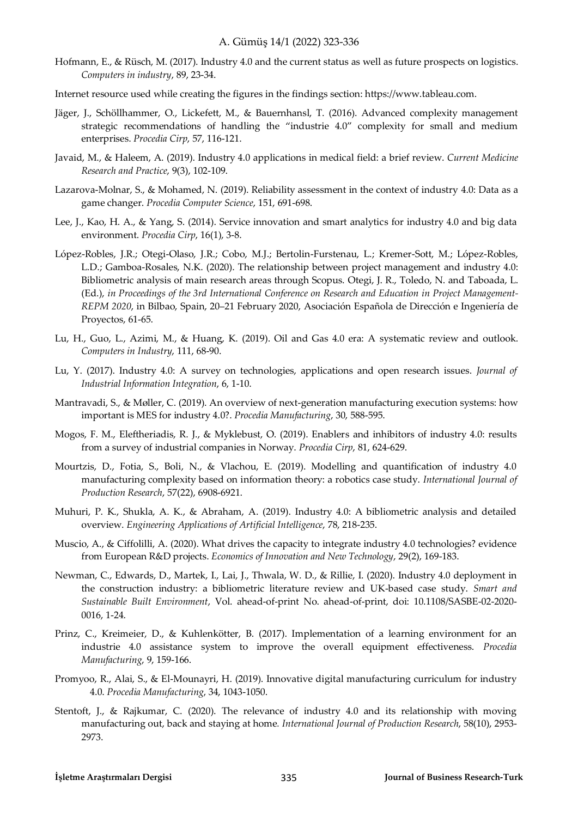- Hofmann, E., & Rüsch, M. (2017). Industry 4.0 and the current status as well as future prospects on logistics. *Computers in industry*, 89, 23-34.
- Internet resource used while creating the figures in the findings section: https://www.tableau.com.
- Jäger, J., Schöllhammer, O., Lickefett, M., & Bauernhansl, T. (2016). Advanced complexity management strategic recommendations of handling the "industrie 4.0" complexity for small and medium enterprises. *Procedia Cirp*, 57, 116-121.
- Javaid, M., & Haleem, A. (2019). Industry 4.0 applications in medical field: a brief review. *Current Medicine Research and Practice*, 9(3), 102-109.
- Lazarova-Molnar, S., & Mohamed, N. (2019). Reliability assessment in the context of industry 4.0: Data as a game changer. *Procedia Computer Science*, 151, 691-698.
- Lee, J., Kao, H. A., & Yang, S. (2014). Service innovation and smart analytics for industry 4.0 and big data environment. *Procedia Cirp*, 16(1), 3-8.
- López-Robles, J.R.; Otegi-Olaso, J.R.; Cobo, M.J.; Bertolin-Furstenau, L.; Kremer-Sott, M.; López-Robles, L.D.; Gamboa-Rosales, N.K. (2020). The relationship between project management and industry 4.0: Bibliometric analysis of main research areas through Scopus. Otegi, J. R., Toledo, N. and Taboada, L. (Ed.), *in Proceedings of the 3rd International Conference on Research and Education in Project Management-REPM 2020*, in Bilbao, Spain, 20–21 February 2020, Asociación Española de Dirección e Ingeniería de Proyectos, 61-65.
- Lu, H., Guo, L., Azimi, M., & Huang, K. (2019). Oil and Gas 4.0 era: A systematic review and outlook. *Computers in Industry*, 111, 68-90.
- Lu, Y. (2017). Industry 4.0: A survey on technologies, applications and open research issues. *Journal of Industrial Information Integration*, 6, 1-10.
- Mantravadi, S., & Møller, C. (2019). An overview of next-generation manufacturing execution systems: how important is MES for industry 4.0?. *Procedia Manufacturing*, 30, 588-595.
- Mogos, F. M., Eleftheriadis, R. J., & Myklebust, O. (2019). Enablers and inhibitors of industry 4.0: results from a survey of industrial companies in Norway. *Procedia Cirp*, 81, 624-629.
- Mourtzis, D., Fotia, S., Boli, N., & Vlachou, E. (2019). Modelling and quantification of industry 4.0 manufacturing complexity based on information theory: a robotics case study. *International Journal of Production Research*, 57(22), 6908-6921.
- Muhuri, P. K., Shukla, A. K., & Abraham, A. (2019). Industry 4.0: A bibliometric analysis and detailed overview. *Engineering Applications of Artificial Intelligence*, 78, 218-235.
- Muscio, A., & Ciffolilli, A. (2020). What drives the capacity to integrate industry 4.0 technologies? evidence from European R&D projects. *Economics of Innovation and New Technology*, 29(2), 169-183.
- Newman, C., Edwards, D., Martek, I., Lai, J., Thwala, W. D., & Rillie, I. (2020). Industry 4.0 deployment in the construction industry: a bibliometric literature review and UK-based case study. *Smart and Sustainable Built Environment*, Vol. ahead-of-print No. ahead-of-print, doi: 10.1108/SASBE-02-2020- 0016, 1-24.
- Prinz, C., Kreimeier, D., & Kuhlenkötter, B. (2017). Implementation of a learning environment for an industrie 4.0 assistance system to improve the overall equipment effectiveness. *Procedia Manufacturing*, 9, 159-166.
- Promyoo, R., Alai, S., & El-Mounayri, H. (2019). Innovative digital manufacturing curriculum for industry 4.0. *Procedia Manufacturing*, 34, 1043-1050.
- Stentoft, J., & Rajkumar, C. (2020). The relevance of industry 4.0 and its relationship with moving manufacturing out, back and staying at home*. International Journal of Production Research*, 58(10), 2953- 2973.